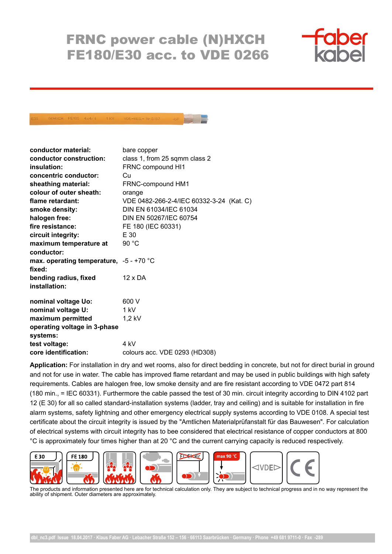## FRNC power cable (N)HXCH FE180/E30 acc. to VDE 0266



## NOMXCH FE480 4x4/4 1KV VDE-REG.- Nr.8197

| conductor material:                       | bare copper                              |
|-------------------------------------------|------------------------------------------|
| conductor construction:                   | class 1, from 25 sqmm class 2            |
| insulation:                               | FRNC compound HI1                        |
| concentric conductor:                     | Cн                                       |
| sheathing material:                       | FRNC-compound HM1                        |
| colour of outer sheath:                   | orange                                   |
| flame retardant:                          | VDE 0482-266-2-4/IEC 60332-3-24 (Kat. C) |
| smoke density:                            | DIN EN 61034/IEC 61034                   |
| halogen free:                             | DIN EN 50267/IEC 60754                   |
| fire resistance:                          | FE 180 (IEC 60331)                       |
| circuit integrity:                        | E 30                                     |
| maximum temperature at                    | 90 °C                                    |
| conductor:                                |                                          |
| max. operating temperature, $-5 - +70$ °C |                                          |
| fixed:                                    |                                          |
| bending radius, fixed                     | $12 \times DA$                           |
| installation:                             |                                          |
|                                           |                                          |
| nominal voltage Uo:                       | 600 V                                    |
| nominal voltage U:                        | 1 kV                                     |
| maximum permitted                         | $1,2$ kV                                 |
| operating voltage in 3-phase              |                                          |
| systems:                                  |                                          |
| test voltage:                             | 4 kV                                     |
| core identification:                      | colours acc. VDE 0293 (HD308)            |

**Application:** For installation in dry and wet rooms, also for direct bedding in concrete, but not for direct burial in ground and not for use in water. The cable has improved flame retardant and may be used in public buildings with high safety requirements. Cables are halogen free, low smoke density and are fire resistant according to VDE 0472 part 814 (180 min., = IEC 60331). Furthermore the cable passed the test of 30 min. circuit integrity according to DIN 4102 part 12 (E 30) for all so called standard-installation systems (ladder, tray and ceiling) and is suitable for installation in fire alarm systems, safety lightning and other emergency electrical supply systems according to VDE 0108. A special test certificate about the circuit integrity is issued by the "Amtlichen Materialprüfanstalt für das Bauwesen". For calculation of electrical systems with circuit integrity has to bee considered that electrical resistance of copper conductors at 800 °C is approximately four times higher than at 20 °C and the current carrying capacity is reduced respectively.



The products and information presented here are for technical calculation only. They are subject to technical progress and in no way represent the ability of shipment. Outer diameters are approximately.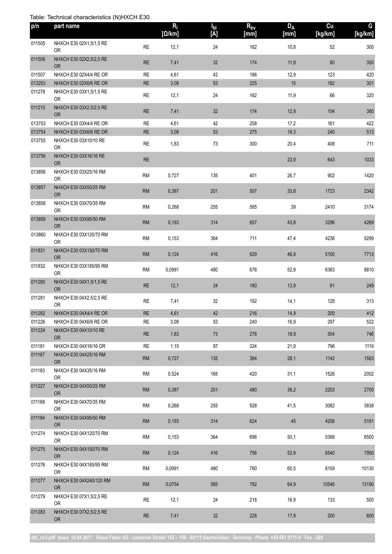## Table: Technical characteristics (N)HXCH E30

| p/n    | part name                            |            | $R_{\parallel}$<br>[Ω/km] | $I_{bl}$<br>[A] | $R_{bv}$<br>[mm] | $D_A$<br>[mm] | cu<br>[kg/km] | G<br>[kg/km] |
|--------|--------------------------------------|------------|---------------------------|-----------------|------------------|---------------|---------------|--------------|
| 011505 | NHXCH E30 02X1,5/1,5 RE<br><b>OR</b> | <b>RE</b>  | 12,1                      | 24              | 162              | 10,8          | 52            | 300          |
| 011506 | NHXCH E30 02X2,5/2,5 RE<br><b>OR</b> | <b>RE</b>  | 7,41                      | 32              | 174              | 11,9          | 80            | 350          |
| 011507 | NHXCH E30 02X4/4 RE OR               | <b>RE</b>  | 4,61                      | 42              | 186              | 12,9          | 123           | 420          |
| 013253 | NHXCH E30 02X6/6 RE OR               | <b>RE</b>  | 3,08                      | 53              | 225              | 15            | 182           | 301          |
| 011278 | NHXCH E30 03X1,5/1,5 RE<br><b>OR</b> | <b>RE</b>  | 12,1                      | 24              | 162              | 11,9          | 66            | 320          |
| 011215 | NHXCH E30 03X2,5/2,5 RE<br><b>OR</b> | <b>RE</b>  | 7,41                      | 32              | 174              | 12,9          | 104           | 380          |
| 013753 | NHXCH E30 03X4/4 RE OR               | <b>RE</b>  | 4,61                      | 42              | 258              | 17,2          | 161           | 422          |
| 013754 | NHXCH E30 03X6/6 RE OR               | <b>RE</b>  | 3,08                      | 53              | 275              | 18,3          | 240           | 513          |
| 013755 | NHXCH E30 03X10/10 RE<br>0R          | <b>RE</b>  | 1,83                      | 73              | 300              | 20,4          | 408           | 711          |
| 013756 | NHXCH E30 03X16/16 RE<br><b>OR</b>   | <b>RE</b>  |                           |                 |                  | 22,9          | 643           | 1033         |
| 013856 | NHXCH E30 03X25/16 RM<br><b>OR</b>   | ${\sf RM}$ | 0,727                     | 135             | 401              | 26,7          | 902           | 1420         |
| 013857 | NHXCH E30 03X50/25 RM<br><b>OR</b>   | RM         | 0,387                     | 201             | 507              | 33,8          | 1723          | 2342         |
| 013858 | NHXCH E30 03X70/35 RM<br><b>OR</b>   | <b>RM</b>  | 0,268                     | 255             | 585              | 39            | 2410          | 3174         |
| 013859 | NHXCH E30 03X95/50 RM<br><b>OR</b>   | RM         | 0,193                     | 314             | 657              | 43,8          | 3296          | 4269         |
| 013860 | NHXCH E30 03X120/70 RM<br><b>OR</b>  | <b>RM</b>  | 0,153                     | 364             | 711              | 47,4          | 4236          | 5299         |
| 011831 | NHXCH E30 03X150/70 RM<br><b>OR</b>  | RM         | 0,124                     | 416             | 629              | 46,9          | 5100          | 7713         |
| 011832 | NHXCH E30 03X185/95 RM<br><b>OR</b>  | ${\sf RM}$ | 0,0991                    | 480             | 678              | 52,9          | 6383          | 8810         |
| 011280 | NHXCH E30 04X1,5/1,5 RE<br><b>OR</b> | RE         | 12,1                      | 24              | 180              | 13,9          | 81            | 249          |
| 011281 | NHXCH E30 04X2,5/2,5 RE<br><b>OR</b> | <b>RE</b>  | 7,41                      | 32              | 192              | 14,1          | 128           | 313          |
| 011282 | NHXCH E30 04X4/4 RE OR               | <b>RE</b>  | 4,61                      | $42\,$          | $216$            | 14,9          | $200\,$       | 412          |
| 011226 | NHXCH E30 04X6/6 RE OR               | <b>RE</b>  | 3,08                      | 53              | 240              | 16,9          | 297           | 522          |
| 011224 | NHXCH E30 04X10/10 RE<br><b>OR</b>   | <b>RE</b>  | 1,83                      | 73              | 276              | 18,9          | 504           | 746          |
| 011181 | NHXCH E30 04X16/16 OR                | <b>RE</b>  | 1,15                      | 97              | 324              | 21,9          | 796           | 1119         |
| 011167 | NHXCH E30 04X25/16 RM<br><b>OR</b>   | ${\sf RM}$ | 0,727                     | 135             | 384              | 28,1          | 1142          | 1583         |
| 011183 | NHXCH E30 04X35/16 RM<br>0R          | <b>RM</b>  | 0,524                     | 165             | 420              | 31,1          | 1526          | 2002         |
| 011227 | NHXCH E30 04X50/25 RM<br><b>OR</b>   | <b>RM</b>  | 0,387                     | 201             | 480              | 36,2          | 2203          | 2700         |
| 011168 | NHXCH E30 04X70/35 RM<br>0R          | <b>RM</b>  | 0,268                     | 255             | 528              | 41,5          | 3082          | 3838         |
| 011184 | NHXCH E30 04X95/50 RM<br><b>OR</b>   | <b>RM</b>  | 0,193                     | 314             | 624              | 45            | 4208          | 5181         |
| 011274 | NHXCH E30 04X120/70 RM<br>0R         | <b>RM</b>  | 0,153                     | 364             | 696              | 50,1          | 5388          | 6500         |
| 011275 | NHXCH E30 04X150/70 RM<br><b>OR</b>  | <b>RM</b>  | 0,124                     | 416             | 756              | 52,9          | 6540          | 7950         |
| 011276 | NHXCH E30 04X185/95 RM<br>0R         | <b>RM</b>  | 0,0991                    | 480             | 780              | 60,5          | 8159          | 10130        |
| 011277 | NHXCH E30 04X240/120 RM<br>OR        | ${\sf RM}$ | 0,0754                    | 565             | 792              | 64,9          | 10546         | 13190        |
| 011279 | NHXCH E30 07X1,5/2,5 RE<br>OR        | RE         | 12,1                      | 24              | 216              | 16,9          | 133           | 500          |
| 011283 | NHXCH E30 07X2,5/2,5 RE<br><b>OR</b> | <b>RE</b>  | 7,41                      | $32\,$          | 228              | 17,9          | 200           | 600          |